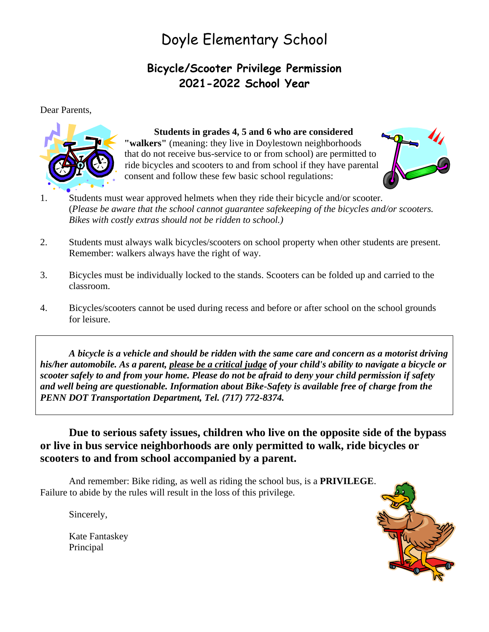## Doyle Elementary School

### **Bicycle/Scooter Privilege Permission 2021-2022 School Year**

Dear Parents,



#### **Students in grades 4, 5 and 6 who are considered**

**"walkers"** (meaning: they live in Doylestown neighborhoods that do not receive bus-service to or from school) are permitted to ride bicycles and scooters to and from school if they have parental consent and follow these few basic school regulations:



- 1. Students must wear approved helmets when they ride their bicycle and/or scooter. (*Please be aware that the school cannot guarantee safekeeping of the bicycles and/or scooters. Bikes with costly extras should not be ridden to school.)*
- 2. Students must always walk bicycles/scooters on school property when other students are present. Remember: walkers always have the right of way.
- 3. Bicycles must be individually locked to the stands. Scooters can be folded up and carried to the classroom.
- 4. Bicycles/scooters cannot be used during recess and before or after school on the school grounds for leisure.

*A bicycle is a vehicle and should be ridden with the same care and concern as a motorist driving his/her automobile. As a parent, please be a critical judge of your child's ability to navigate a bicycle or scooter safely to and from your home. Please do not be afraid to deny your child permission if safety and well being are questionable. Information about Bike-Safety is available free of charge from the PENN DOT Transportation Department, Tel. (717) 772-8374.*

**Due to serious safety issues, children who live on the opposite side of the bypass or live in bus service neighborhoods are only permitted to walk, ride bicycles or scooters to and from school accompanied by a parent.** 

And remember: Bike riding, as well as riding the school bus, is a **PRIVILEGE**. Failure to abide by the rules will result in the loss of this privilege.

Sincerely,

Kate Fantaskey Principal